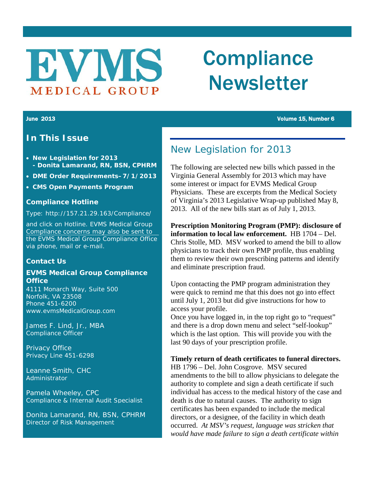# **EVWS** MEDICAL GROUP

# **Compliance** Newsletter

### **In This Issue**

- **New Legislation for 2013 - Donita Lamarand, RN, BSN, CPHRM**
- **DME Order Requirements–7/1/2013**
- **CMS Open Payments Program**

#### **Compliance Hotline**

#### Type:<http://157.21.29.163/Compliance/>

and click on Hotline. EVMS Medical Group Compliance concerns may also be sent to the EVMS Medical Group Compliance Office via phone, mail or e-mail.

#### **Contact Us**

#### **EVMS Medical Group Compliance Office**

4111 Monarch Way, Suite 500 Norfolk, VA 23508 Phone 451-6200 www.evmsMedicalGroup.com

James F. Lind, Jr., MBA Compliance Officer

Privacy Office Privacy Line 451-6298

Leanne Smith, CHC Administrator

Pamela Wheeley, CPC Compliance & Internal Audit Specialist

Donita Lamarand, RN, BSN, CPHRM Director of Risk Management

## New Legislation for 2013

The following are selected new bills which passed in the Virginia General Assembly for 2013 which may have some interest or impact for EVMS Medical Group Physicians. These are excerpts from the Medical Society of Virginia's 2013 Legislative Wrap-up published May 8, 2013. All of the new bills start as of July 1, 2013.

**Prescription Monitoring Program (PMP): disclosure of information to local law enforcement.** HB 1704 – Del. Chris Stolle, MD. MSV worked to amend the bill to allow physicians to track their own PMP profile, thus enabling them to review their own prescribing patterns and identify and eliminate prescription fraud.

Upon contacting the PMP program administration they were quick to remind me that this does not go into effect until July 1, 2013 but did give instructions for how to access your profile.

Once you have logged in, in the top right go to "request" and there is a drop down menu and select "self-lookup" which is the last option. This will provide you with the last 90 days of your prescription profile.

#### **Timely return of death certificates to funeral directors.**

HB 1796 – Del. John Cosgrove. MSV secured amendments to the bill to allow physicians to delegate the authority to complete and sign a death certificate if such individual has access to the medical history of the case and death is due to natural causes. The authority to sign certificates has been expanded to include the medical directors, or a designee, of the facility in which death occurred. *At MSV's request, language was stricken that would have made failure to sign a death certificate within* 

June 2013 Volume 15, Number 6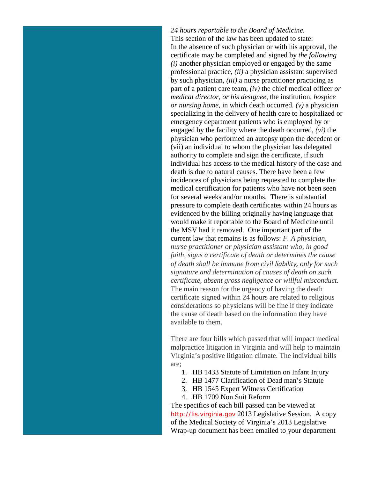### *24 hours reportable to the Board of Medicine.*

This section of the law has been updated to state: In the absence of such physician or with his approval, the certificate may be completed and signed by *the following (i)* another physician employed or engaged by the same professional practice, *(ii)* a physician assistant supervised by such physician, *(iii)* a nurse practitioner practicing as part of a patient care team, *(iv)* the chief medical officer *or medical director, or his designee,* the institution, *hospice or nursing home,* in which death occurred. *(v)* a physician specializing in the delivery of health care to hospitalized or emergency department patients who is employed by or engaged by the facility where the death occurred, *(vi)* the physician who performed an autopsy upon the decedent or (vii) an individual to whom the physician has delegated authority to complete and sign the certificate, if such individual has access to the medical history of the case and death is due to natural causes. There have been a few incidences of physicians being requested to complete the medical certification for patients who have not been seen for several weeks and/or months. There is substantial pressure to complete death certificates within 24 hours as evidenced by the billing originally having language that would make it reportable to the Board of Medicine until the MSV had it removed. One important part of the current law that remains is as follows: *F. A physician, nurse practitioner or physician assistant who, in good faith, signs a certificate of death or determines the cause of death shall be immune from civil liability, only for such signature and determination of causes of death on such certificate, absent gross negligence or willful misconduct.* The main reason for the urgency of having the death certificate signed within 24 hours are related to religious considerations so physicians will be fine if they indicate the cause of death based on the information they have available to them.

There are four bills which passed that will impact medical malpractice litigation in Virginia and will help to maintain Virginia's positive litigation climate. The individual bills are;

- 1. HB 1433 Statute of Limitation on Infant Injury
- 2. HB 1477 Clarification of Dead man's Statute
- 3. HB 1545 Expert Witness Certification
- 4. HB 1709 Non Suit Reform

The specifics of each bill passed can be viewed at [http://lis.virginia.gov](http://lis.virginia.gov/) 2013 Legislative Session. A copy of the Medical Society of Virginia's 2013 Legislative Wrap-up document has been emailed to your department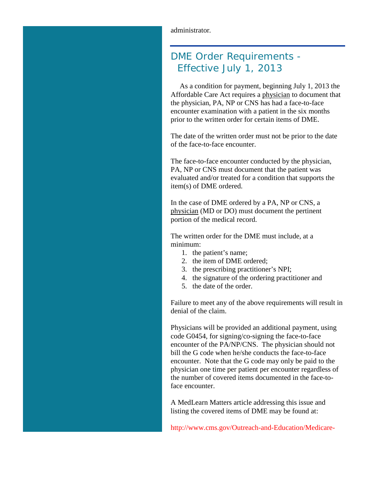# DME Order Requirements - Effective July 1, 2013

 As a condition for payment, beginning July 1, 2013 the Affordable Care Act requires a physician to document that the physician, PA, NP or CNS has had a face-to-face encounter examination with a patient in the six months prior to the written order for certain items of DME.

The date of the written order must not be prior to the date of the face-to-face encounter.

The face-to-face encounter conducted by the physician, PA, NP or CNS must document that the patient was evaluated and/or treated for a condition that supports the item(s) of DME ordered.

In the case of DME ordered by a PA, NP or CNS, a physician (MD or DO) must document the pertinent portion of the medical record.

The written order for the DME must include, at a minimum:

- 1. the patient's name;
- 2. the item of DME ordered;
- 3. the prescribing practitioner's NPI;
- 4. the signature of the ordering practitioner and
- 5. the date of the order.

Failure to meet any of the above requirements will result in denial of the claim.

Physicians will be provided an additional payment, using code G0454, for signing/co-signing the face-to-face encounter of the PA/NP/CNS. The physician should not bill the G code when he/she conducts the face-to-face encounter. Note that the G code may only be paid to the physician one time per patient per encounter regardless of the number of covered items documented in the face-toface encounter.

A MedLearn Matters article addressing this issue and listing the covered items of DME may be found at:

[http://www.cms.gov/Outreach-and-Education/Medicare-](http://www.cms.gov/Outreach-and-Education/Medicare-Learning-Network-MLN/MLNMattersArticles/Downloads/MM8304.pdf)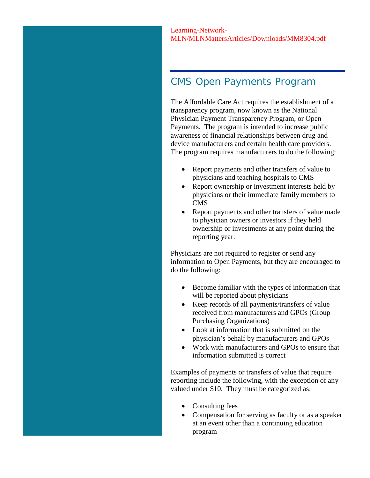# CMS Open Payments Program

The Affordable Care Act requires the establishment of a transparency program, now known as the National Physician Payment Transparency Program, or Open Payments. The program is intended to increase public awareness of financial relationships between drug and device manufacturers and certain health care providers. The program requires manufacturers to do the following:

- Report payments and other transfers of value to physicians and teaching hospitals to CMS
- Report ownership or investment interests held by physicians or their immediate family members to CMS
- Report payments and other transfers of value made to physician owners or investors if they held ownership or investments at any point during the reporting year.

Physicians are not required to register or send any information to Open Payments, but they are encouraged to do the following:

- Become familiar with the types of information that will be reported about physicians
- Keep records of all payments/transfers of value received from manufacturers and GPOs (Group Purchasing Organizations)
- Look at information that is submitted on the physician's behalf by manufacturers and GPOs
- Work with manufacturers and GPOs to ensure that information submitted is correct

Examples of payments or transfers of value that require reporting include the following, with the exception of any valued under \$10. They must be categorized as:

- Consulting fees
- Compensation for serving as faculty or as a speaker at an event other than a continuing education program